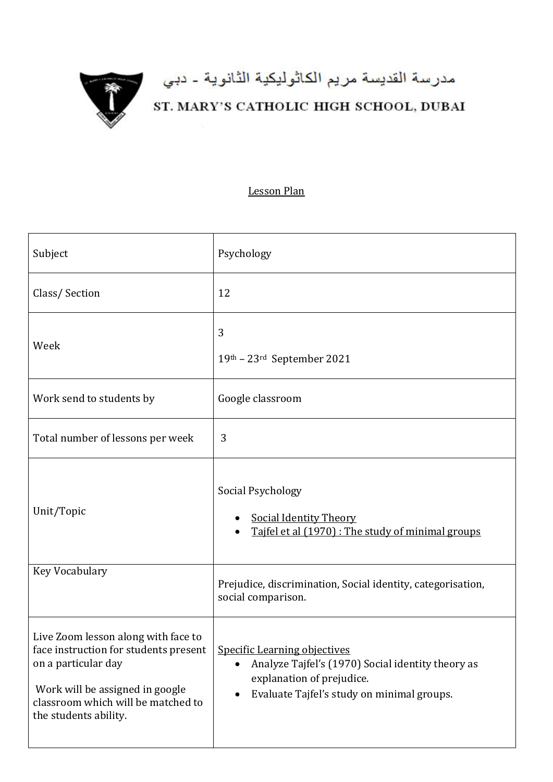

## مدرسة القديسة مريم الكاثوليكية الثانوية - دبي<br>ST. MARY'S CATHOLIC HIGH SCHOOL, DUBAI

## Lesson Plan

| Subject                                                                                                                                                                                                 | Psychology                                                                                                                                                                       |
|---------------------------------------------------------------------------------------------------------------------------------------------------------------------------------------------------------|----------------------------------------------------------------------------------------------------------------------------------------------------------------------------------|
| Class/Section                                                                                                                                                                                           | 12                                                                                                                                                                               |
| Week                                                                                                                                                                                                    | 3<br>19th - 23rd September 2021                                                                                                                                                  |
| Work send to students by                                                                                                                                                                                | Google classroom                                                                                                                                                                 |
| Total number of lessons per week                                                                                                                                                                        | 3                                                                                                                                                                                |
| Unit/Topic                                                                                                                                                                                              | Social Psychology<br><b>Social Identity Theory</b><br>Tajfel et al (1970) : The study of minimal groups                                                                          |
| Key Vocabulary                                                                                                                                                                                          | Prejudice, discrimination, Social identity, categorisation,<br>social comparison.                                                                                                |
| Live Zoom lesson along with face to<br>face instruction for students present  <br>on a particular day<br>Work will be assigned in google<br>classroom which will be matched to<br>the students ability. | <b>Specific Learning objectives</b><br>Analyze Tajfel's (1970) Social identity theory as<br>$\bullet$<br>explanation of prejudice.<br>Evaluate Tajfel's study on minimal groups. |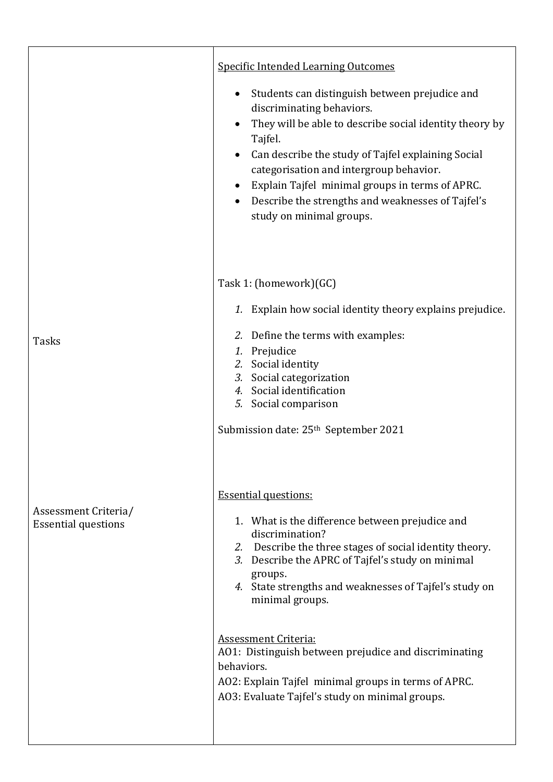|                                                    | <b>Specific Intended Learning Outcomes</b><br>Students can distinguish between prejudice and<br>٠<br>discriminating behaviors.<br>They will be able to describe social identity theory by<br>$\bullet$<br>Tajfel.<br>Can describe the study of Tajfel explaining Social<br>$\bullet$<br>categorisation and intergroup behavior.<br>Explain Tajfel minimal groups in terms of APRC.<br>$\bullet$<br>Describe the strengths and weaknesses of Tajfel's<br>٠<br>study on minimal groups.                                      |
|----------------------------------------------------|----------------------------------------------------------------------------------------------------------------------------------------------------------------------------------------------------------------------------------------------------------------------------------------------------------------------------------------------------------------------------------------------------------------------------------------------------------------------------------------------------------------------------|
| <b>Tasks</b>                                       | Task 1: (homework)(GC)<br>1. Explain how social identity theory explains prejudice.<br>2. Define the terms with examples:<br>1. Prejudice<br>2. Social identity<br>3. Social categorization<br>4. Social identification<br>5. Social comparison<br>Submission date: 25 <sup>th</sup> September 2021                                                                                                                                                                                                                        |
| Assessment Criteria/<br><b>Essential questions</b> | <b>Essential questions:</b><br>1. What is the difference between prejudice and<br>discrimination?<br>2. Describe the three stages of social identity theory.<br>3. Describe the APRC of Tajfel's study on minimal<br>groups.<br>4. State strengths and weaknesses of Tajfel's study on<br>minimal groups.<br><b>Assessment Criteria:</b><br>A01: Distinguish between prejudice and discriminating<br>behaviors.<br>AO2: Explain Tajfel minimal groups in terms of APRC.<br>A03: Evaluate Tajfel's study on minimal groups. |